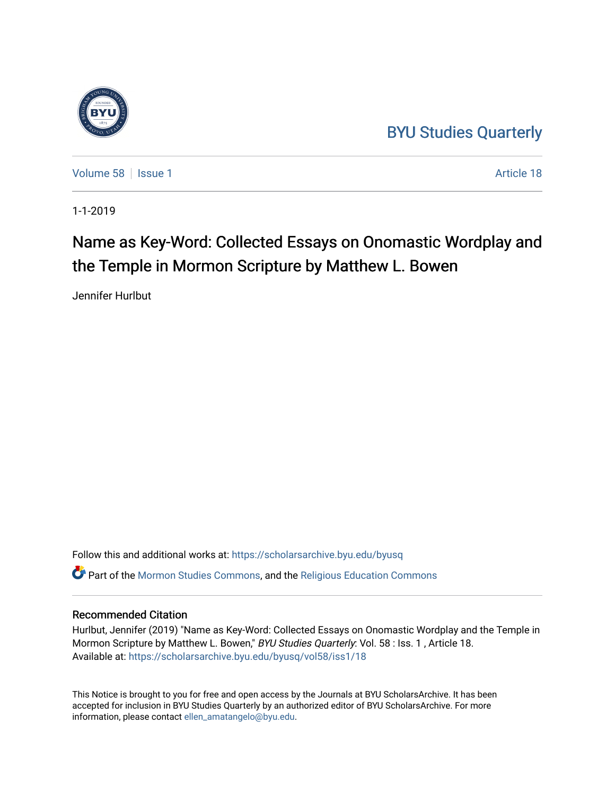## [BYU Studies Quarterly](https://scholarsarchive.byu.edu/byusq)

[Volume 58](https://scholarsarchive.byu.edu/byusq/vol58) | [Issue 1](https://scholarsarchive.byu.edu/byusq/vol58/iss1) Article 18

1-1-2019

## Name as Key-Word: Collected Essays on Onomastic Wordplay and the Temple in Mormon Scripture by Matthew L. Bowen

Jennifer Hurlbut

Follow this and additional works at: [https://scholarsarchive.byu.edu/byusq](https://scholarsarchive.byu.edu/byusq?utm_source=scholarsarchive.byu.edu%2Fbyusq%2Fvol58%2Fiss1%2F18&utm_medium=PDF&utm_campaign=PDFCoverPages)  Part of the [Mormon Studies Commons](http://network.bepress.com/hgg/discipline/1360?utm_source=scholarsarchive.byu.edu%2Fbyusq%2Fvol58%2Fiss1%2F18&utm_medium=PDF&utm_campaign=PDFCoverPages), and the [Religious Education Commons](http://network.bepress.com/hgg/discipline/1414?utm_source=scholarsarchive.byu.edu%2Fbyusq%2Fvol58%2Fiss1%2F18&utm_medium=PDF&utm_campaign=PDFCoverPages) 

## Recommended Citation

Hurlbut, Jennifer (2019) "Name as Key-Word: Collected Essays on Onomastic Wordplay and the Temple in Mormon Scripture by Matthew L. Bowen," BYU Studies Quarterly: Vol. 58 : Iss. 1, Article 18. Available at: [https://scholarsarchive.byu.edu/byusq/vol58/iss1/18](https://scholarsarchive.byu.edu/byusq/vol58/iss1/18?utm_source=scholarsarchive.byu.edu%2Fbyusq%2Fvol58%2Fiss1%2F18&utm_medium=PDF&utm_campaign=PDFCoverPages) 

This Notice is brought to you for free and open access by the Journals at BYU ScholarsArchive. It has been accepted for inclusion in BYU Studies Quarterly by an authorized editor of BYU ScholarsArchive. For more information, please contact [ellen\\_amatangelo@byu.edu.](mailto:ellen_amatangelo@byu.edu)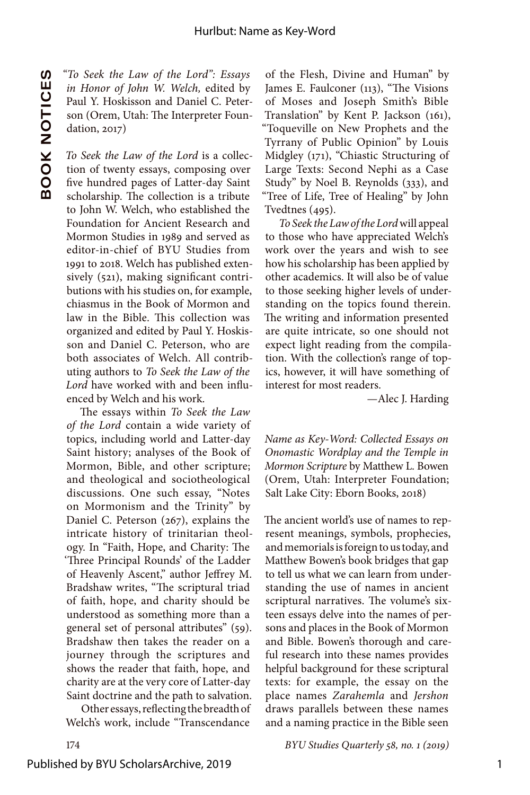**BOOK The Seek the Law of the Lord": Essays**<br> **BOOK** In Honor of John W. Welch, edited by<br>
Paul Y. Hoskisson and Daniel C. Peterson (Orem, Utah: The Interpreter Foundation, 2017)<br> **BOOK** To Seek the Law of the Lord is a co *in Honor of John W. Welch,* edited by Paul Y. Hoskisson and Daniel C. Peterson (Orem, Utah: The Interpreter Foundation, 2017)

*To Seek the Law of the Lord* is a collection of twenty essays, composing over five hundred pages of Latter-day Saint scholarship. The collection is a tribute to John W. Welch, who established the Foundation for Ancient Research and Mormon Studies in 1989 and served as editor-in-chief of BYU Studies from 1991 to 2018. Welch has published extensively (521), making significant contributions with his studies on, for example, chiasmus in the Book of Mormon and law in the Bible. This collection was organized and edited by Paul Y. Hoskisson and Daniel C. Peterson, who are both associates of Welch. All contributing authors to *To Seek the Law of the Lord* have worked with and been influenced by Welch and his work.

The essays within *To Seek the Law of the Lord* contain a wide variety of topics, including world and Latter-day Saint history; analyses of the Book of Mormon, Bible, and other scripture; and theological and sociotheological discussions. One such essay, "Notes on Mormonism and the Trinity" by Daniel C. Peterson (267), explains the intricate history of trinitarian theology. In "Faith, Hope, and Charity: The 'Three Principal Rounds' of the Ladder of Heavenly Ascent," author Jeffrey M. Bradshaw writes, "The scriptural triad of faith, hope, and charity should be understood as something more than a general set of personal attributes" (59). Bradshaw then takes the reader on a journey through the scriptures and shows the reader that faith, hope, and charity are at the very core of Latter-day Saint doctrine and the path to salvation.

Other essays, reflecting the breadth of Welch's work, include "Transcendance

of the Flesh, Divine and Human" by James E. Faulconer (113), "The Visions of Moses and Joseph Smith's Bible Translation" by Kent P. Jackson (161), "Toqueville on New Prophets and the Tyrrany of Public Opinion" by Louis Midgley (171), "Chiastic Structuring of Large Texts: Second Nephi as a Case Study" by Noel B. Reynolds (333), and "Tree of Life, Tree of Healing" by John Tvedtnes (495).

*To Seek the Law of the Lord* will appeal to those who have appreciated Welch's work over the years and wish to see how his scholarship has been applied by other academics. It will also be of value to those seeking higher levels of understanding on the topics found therein. The writing and information presented are quite intricate, so one should not expect light reading from the compilation. With the collection's range of topics, however, it will have something of interest for most readers.

—Alec J. Harding

*Name as Key-Word: Collected Essays on Onomastic Wordplay and the Temple in Mormon Scripture* by Matthew L. Bowen (Orem, Utah: Interpreter Foundation; Salt Lake City: Eborn Books, 2018)

The ancient world's use of names to represent meanings, symbols, prophecies, and memorials is foreign to us today, and Matthew Bowen's book bridges that gap to tell us what we can learn from understanding the use of names in ancient scriptural narratives. The volume's sixteen essays delve into the names of persons and places in the Book of Mormon and Bible. Bowen's thorough and careful research into these names provides helpful background for these scriptural texts: for example, the essay on the place names *Zarahemla* and *Jershon* draws parallels between these names and a naming practice in the Bible seen

174 *BYU Studies Quarterly 58, no. 1 (2019)*

Published by BYU ScholarsArchive, 2019